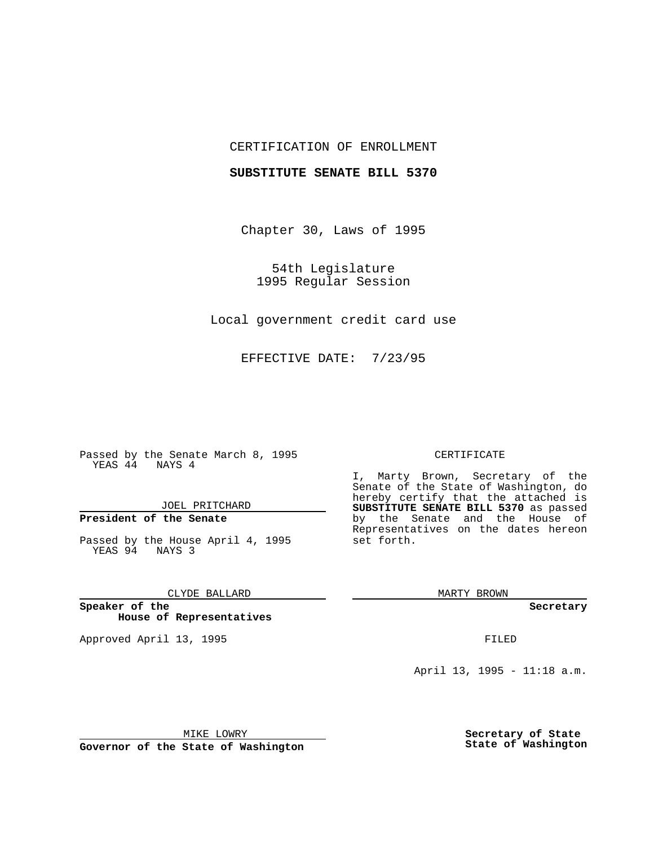## CERTIFICATION OF ENROLLMENT

## **SUBSTITUTE SENATE BILL 5370**

Chapter 30, Laws of 1995

54th Legislature 1995 Regular Session

Local government credit card use

EFFECTIVE DATE: 7/23/95

Passed by the Senate March 8, 1995 YEAS 44 NAYS 4

JOEL PRITCHARD

# **President of the Senate**

Passed by the House April 4, 1995 YEAS 94 NAYS 3

CLYDE BALLARD

**Speaker of the House of Representatives**

Approved April 13, 1995 FILED

#### CERTIFICATE

I, Marty Brown, Secretary of the Senate of the State of Washington, do hereby certify that the attached is **SUBSTITUTE SENATE BILL 5370** as passed by the Senate and the House of Representatives on the dates hereon set forth.

MARTY BROWN

**Secretary**

April 13, 1995 - 11:18 a.m.

MIKE LOWRY

**Governor of the State of Washington**

**Secretary of State State of Washington**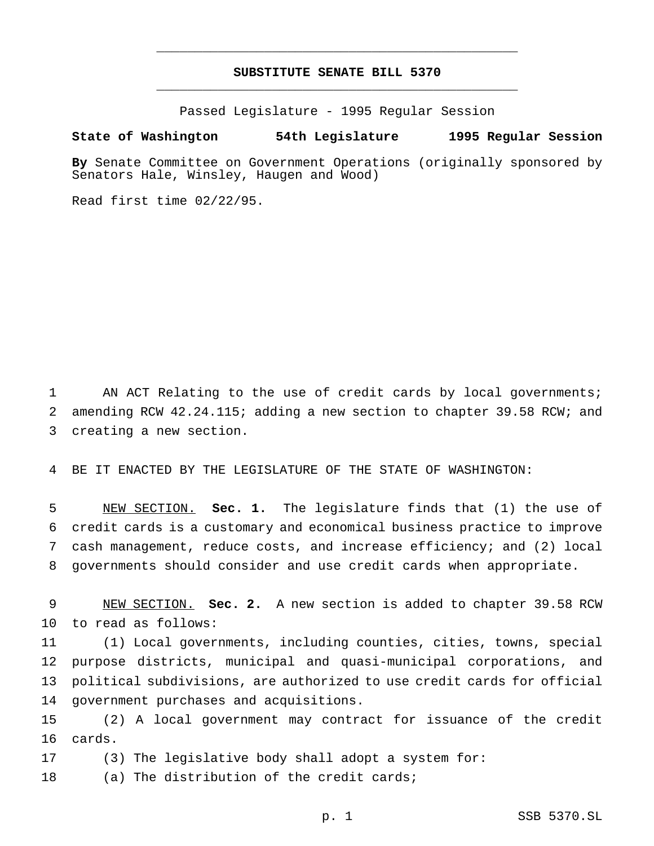## **SUBSTITUTE SENATE BILL 5370** \_\_\_\_\_\_\_\_\_\_\_\_\_\_\_\_\_\_\_\_\_\_\_\_\_\_\_\_\_\_\_\_\_\_\_\_\_\_\_\_\_\_\_\_\_\_\_

\_\_\_\_\_\_\_\_\_\_\_\_\_\_\_\_\_\_\_\_\_\_\_\_\_\_\_\_\_\_\_\_\_\_\_\_\_\_\_\_\_\_\_\_\_\_\_

Passed Legislature - 1995 Regular Session

## **State of Washington 54th Legislature 1995 Regular Session**

**By** Senate Committee on Government Operations (originally sponsored by Senators Hale, Winsley, Haugen and Wood)

Read first time 02/22/95.

 AN ACT Relating to the use of credit cards by local governments; amending RCW 42.24.115; adding a new section to chapter 39.58 RCW; and creating a new section.

BE IT ENACTED BY THE LEGISLATURE OF THE STATE OF WASHINGTON:

 NEW SECTION. **Sec. 1.** The legislature finds that (1) the use of credit cards is a customary and economical business practice to improve cash management, reduce costs, and increase efficiency; and (2) local governments should consider and use credit cards when appropriate.

 NEW SECTION. **Sec. 2.** A new section is added to chapter 39.58 RCW to read as follows:

 (1) Local governments, including counties, cities, towns, special purpose districts, municipal and quasi-municipal corporations, and political subdivisions, are authorized to use credit cards for official government purchases and acquisitions.

 (2) A local government may contract for issuance of the credit cards.

(3) The legislative body shall adopt a system for:

18 (a) The distribution of the credit cards;

p. 1 SSB 5370.SL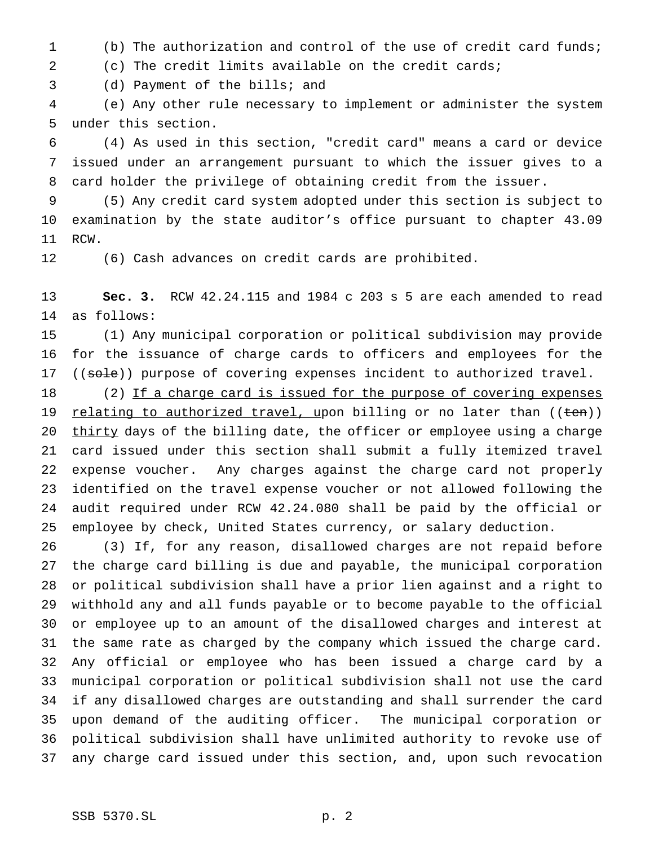- (b) The authorization and control of the use of credit card funds;
- (c) The credit limits available on the credit cards;

(d) Payment of the bills; and

 (e) Any other rule necessary to implement or administer the system under this section.

 (4) As used in this section, "credit card" means a card or device issued under an arrangement pursuant to which the issuer gives to a card holder the privilege of obtaining credit from the issuer.

 (5) Any credit card system adopted under this section is subject to examination by the state auditor's office pursuant to chapter 43.09 RCW.

(6) Cash advances on credit cards are prohibited.

 **Sec. 3.** RCW 42.24.115 and 1984 c 203 s 5 are each amended to read as follows:

 (1) Any municipal corporation or political subdivision may provide for the issuance of charge cards to officers and employees for the 17 ((sole)) purpose of covering expenses incident to authorized travel.

18 (2) If a charge card is issued for the purpose of covering expenses 19 relating to authorized travel, upon billing or no later than ((ten)) 20 thirty days of the billing date, the officer or employee using a charge card issued under this section shall submit a fully itemized travel expense voucher. Any charges against the charge card not properly identified on the travel expense voucher or not allowed following the audit required under RCW 42.24.080 shall be paid by the official or employee by check, United States currency, or salary deduction.

 (3) If, for any reason, disallowed charges are not repaid before the charge card billing is due and payable, the municipal corporation or political subdivision shall have a prior lien against and a right to withhold any and all funds payable or to become payable to the official or employee up to an amount of the disallowed charges and interest at the same rate as charged by the company which issued the charge card. Any official or employee who has been issued a charge card by a municipal corporation or political subdivision shall not use the card if any disallowed charges are outstanding and shall surrender the card upon demand of the auditing officer. The municipal corporation or political subdivision shall have unlimited authority to revoke use of any charge card issued under this section, and, upon such revocation